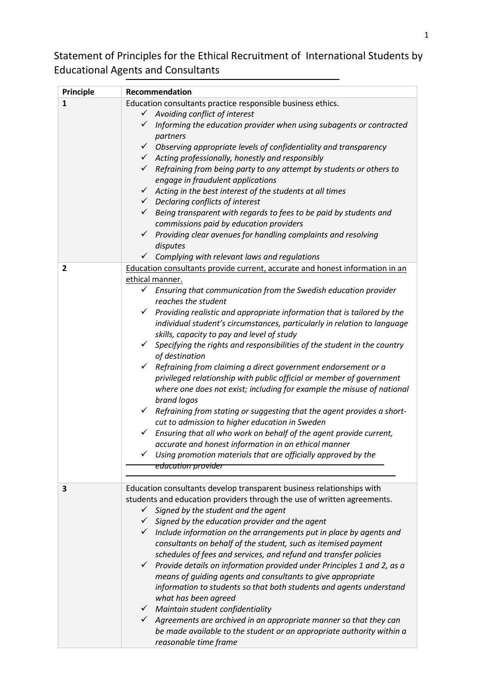Statement of Principles for the Ethical Recruitment of International Students by Educational Agents and Consultants

| Principle    | Recommendation                                                                                                         |
|--------------|------------------------------------------------------------------------------------------------------------------------|
| $\mathbf{1}$ | Education consultants practice responsible business ethics.                                                            |
|              | $\checkmark$ Avoiding conflict of interest                                                                             |
|              | Informing the education provider when using subagents or contracted<br>$\checkmark$                                    |
|              | partners                                                                                                               |
|              | $\checkmark$ Observing appropriate levels of confidentiality and transparency                                          |
|              | $\checkmark$ Acting professionally, honestly and responsibly                                                           |
|              | $\checkmark$ Refraining from being party to any attempt by students or others to                                       |
|              | engage in fraudulent applications                                                                                      |
|              | $\checkmark$<br>Acting in the best interest of the students at all times                                               |
|              | $\checkmark$ Declaring conflicts of interest                                                                           |
|              | $\checkmark$ Being transparent with regards to fees to be paid by students and                                         |
|              | commissions paid by education providers                                                                                |
|              | Providing clear avenues for handling complaints and resolving<br>$\checkmark$                                          |
|              | disputes                                                                                                               |
|              | Complying with relevant laws and regulations<br>✓                                                                      |
| 2            | Education consultants provide current, accurate and honest information in an                                           |
|              | ethical manner.                                                                                                        |
|              | $\checkmark$ Ensuring that communication from the Swedish education provider                                           |
|              | reaches the student                                                                                                    |
|              | $\checkmark$ Providing realistic and appropriate information that is tailored by the                                   |
|              | individual student's circumstances, particularly in relation to language<br>skills, capacity to pay and level of study |
|              | Specifying the rights and responsibilities of the student in the country<br>$\checkmark$                               |
|              | of destination                                                                                                         |
|              | Refraining from claiming a direct government endorsement or a<br>✓                                                     |
|              | privileged relationship with public official or member of government                                                   |
|              | where one does not exist; including for example the misuse of national                                                 |
|              | brand logos                                                                                                            |
|              | Refraining from stating or suggesting that the agent provides a short-<br>✓                                            |
|              | cut to admission to higher education in Sweden                                                                         |
|              | $\checkmark$<br>Ensuring that all who work on behalf of the agent provide current,                                     |
|              | accurate and honest information in an ethical manner                                                                   |
|              | Using promotion materials that are officially approved by the                                                          |
|              | education provider                                                                                                     |
|              |                                                                                                                        |
| 3            | Education consultants develop transparent business relationships with                                                  |
|              | students and education providers through the use of written agreements.                                                |
|              | Signed by the student and the agent<br>✓                                                                               |
|              | $\checkmark$ Signed by the education provider and the agent                                                            |
|              | $\checkmark$ Include information on the arrangements put in place by agents and                                        |
|              | consultants on behalf of the student, such as itemised payment                                                         |
|              | schedules of fees and services, and refund and transfer policies                                                       |
|              | Provide details on information provided under Principles 1 and 2, as a<br>✓                                            |
|              | means of guiding agents and consultants to give appropriate                                                            |
|              | information to students so that both students and agents understand                                                    |
|              | what has been agreed                                                                                                   |
|              | $\checkmark$ Maintain student confidentiality                                                                          |
|              | $\checkmark$ Agreements are archived in an appropriate manner so that they can                                         |
|              | be made available to the student or an appropriate authority within a                                                  |
|              | reasonable time frame                                                                                                  |